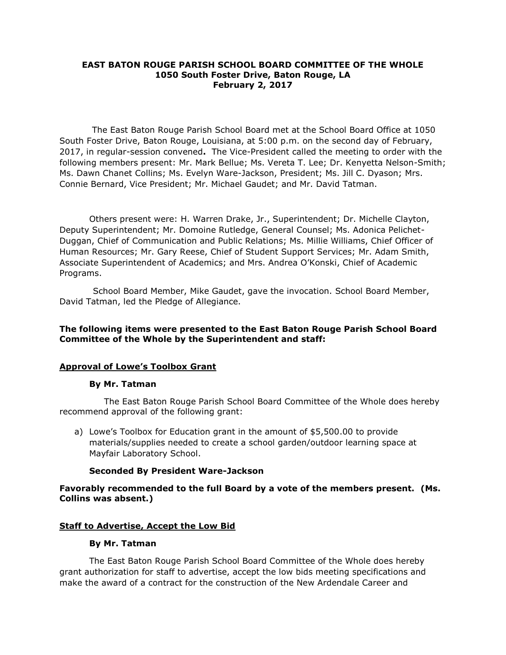### **EAST BATON ROUGE PARISH SCHOOL BOARD COMMITTEE OF THE WHOLE 1050 South Foster Drive, Baton Rouge, LA February 2, 2017**

The East Baton Rouge Parish School Board met at the School Board Office at 1050 South Foster Drive, Baton Rouge, Louisiana, at 5:00 p.m. on the second day of February, 2017, in regular-session convened**.** The Vice-President called the meeting to order with the following members present: Mr. Mark Bellue; Ms. Vereta T. Lee; Dr. Kenyetta Nelson-Smith; Ms. Dawn Chanet Collins; Ms. Evelyn Ware-Jackson, President; Ms. Jill C. Dyason; Mrs. Connie Bernard, Vice President; Mr. Michael Gaudet; and Mr. David Tatman.

Others present were: H. Warren Drake, Jr., Superintendent; Dr. Michelle Clayton, Deputy Superintendent; Mr. Domoine Rutledge, General Counsel; Ms. Adonica Pelichet-Duggan, Chief of Communication and Public Relations; Ms. Millie Williams, Chief Officer of Human Resources; Mr. Gary Reese, Chief of Student Support Services; Mr. Adam Smith, Associate Superintendent of Academics; and Mrs. Andrea O'Konski, Chief of Academic Programs.

School Board Member, Mike Gaudet, gave the invocation. School Board Member, David Tatman, led the Pledge of Allegiance.

### **The following items were presented to the East Baton Rouge Parish School Board Committee of the Whole by the Superintendent and staff:**

### **Approval of Lowe's Toolbox Grant**

### **By Mr. Tatman**

The East Baton Rouge Parish School Board Committee of the Whole does hereby recommend approval of the following grant:

a) Lowe's Toolbox for Education grant in the amount of \$5,500.00 to provide materials/supplies needed to create a school garden/outdoor learning space at Mayfair Laboratory School.

### **Seconded By President Ware-Jackson**

### **Favorably recommended to the full Board by a vote of the members present. (Ms. Collins was absent.)**

### **Staff to Advertise, Accept the Low Bid**

#### **By Mr. Tatman**

The East Baton Rouge Parish School Board Committee of the Whole does hereby grant authorization for staff to advertise, accept the low bids meeting specifications and make the award of a contract for the construction of the New Ardendale Career and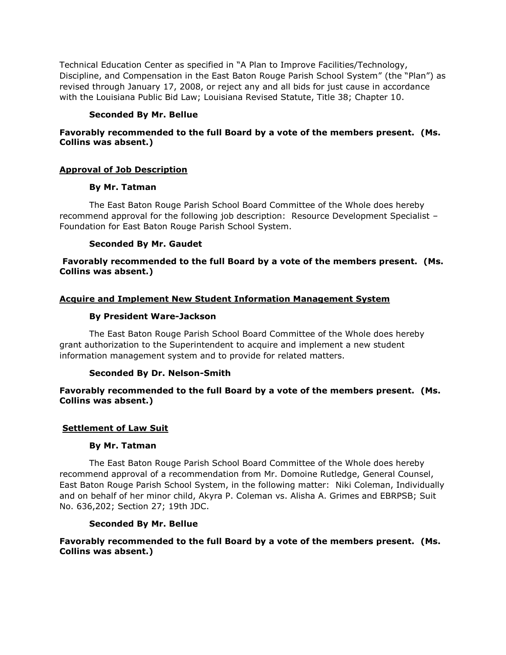Technical Education Center as specified in "A Plan to Improve Facilities/Technology, Discipline, and Compensation in the East Baton Rouge Parish School System" (the "Plan") as revised through January 17, 2008, or reject any and all bids for just cause in accordance with the Louisiana Public Bid Law; Louisiana Revised Statute, Title 38; Chapter 10.

### **Seconded By Mr. Bellue**

## **Favorably recommended to the full Board by a vote of the members present. (Ms. Collins was absent.)**

# **Approval of Job Description**

### **By Mr. Tatman**

The East Baton Rouge Parish School Board Committee of the Whole does hereby recommend approval for the following job description: Resource Development Specialist – Foundation for East Baton Rouge Parish School System.

### **Seconded By Mr. Gaudet**

## **Favorably recommended to the full Board by a vote of the members present. (Ms. Collins was absent.)**

# **Acquire and Implement New Student Information Management System**

### **By President Ware-Jackson**

The East Baton Rouge Parish School Board Committee of the Whole does hereby grant authorization to the Superintendent to acquire and implement a new student information management system and to provide for related matters.

# **Seconded By Dr. Nelson-Smith**

### **Favorably recommended to the full Board by a vote of the members present. (Ms. Collins was absent.)**

# **Settlement of Law Suit**

### **By Mr. Tatman**

The East Baton Rouge Parish School Board Committee of the Whole does hereby recommend approval of a recommendation from Mr. Domoine Rutledge, General Counsel, East Baton Rouge Parish School System, in the following matter: Niki Coleman, Individually and on behalf of her minor child, Akyra P. Coleman vs. Alisha A. Grimes and EBRPSB; Suit No. 636,202; Section 27; 19th JDC.

### **Seconded By Mr. Bellue**

# **Favorably recommended to the full Board by a vote of the members present. (Ms. Collins was absent.)**